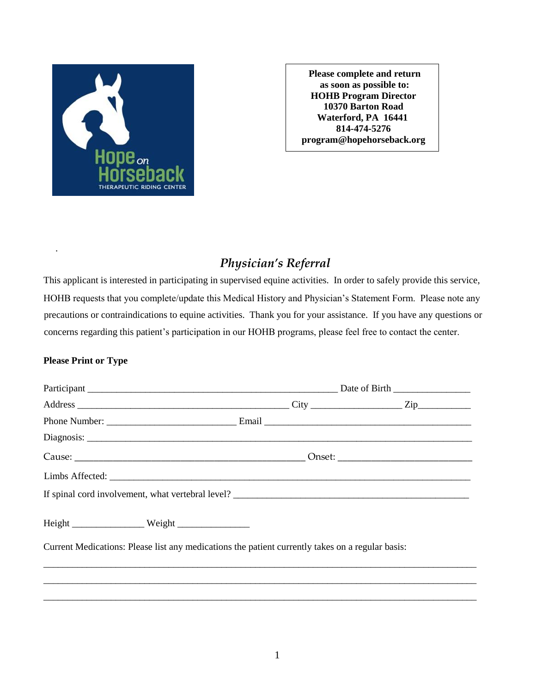

**Please complete and return as soon as possible to: HOHB Program Director 10370 Barton Road Waterford, PA 16441 814-474-5276 program@hopehorseback.org**

## *Physician's Referral*

This applicant is interested in participating in supervised equine activities. In order to safely provide this service, HOHB requests that you complete/update this Medical History and Physician's Statement Form. Please note any precautions or contraindications to equine activities. Thank you for your assistance. If you have any questions or concerns regarding this patient's participation in our HOHB programs, please feel free to contact the center.

## **Please Print or Type**

.

| If spinal cord involvement, what vertebral level?                                                |  |  |  |  |  |  |
|--------------------------------------------------------------------------------------------------|--|--|--|--|--|--|
|                                                                                                  |  |  |  |  |  |  |
| Current Medications: Please list any medications the patient currently takes on a regular basis: |  |  |  |  |  |  |
|                                                                                                  |  |  |  |  |  |  |
|                                                                                                  |  |  |  |  |  |  |
|                                                                                                  |  |  |  |  |  |  |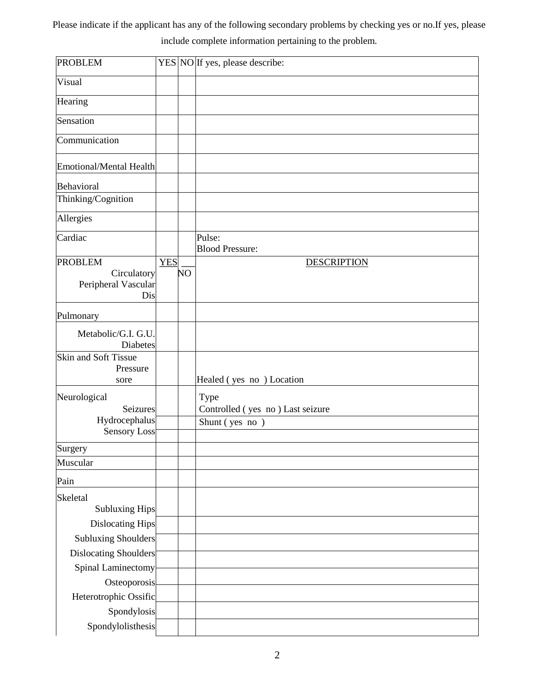Please indicate if the applicant has any of the following secondary problems by checking yes or no.If yes, please include complete information pertaining to the problem.

| <b>PROBLEM</b>                                                   |            | YES NO If yes, please describe: |                                                            |  |  |
|------------------------------------------------------------------|------------|---------------------------------|------------------------------------------------------------|--|--|
| Visual                                                           |            |                                 |                                                            |  |  |
| Hearing                                                          |            |                                 |                                                            |  |  |
| Sensation                                                        |            |                                 |                                                            |  |  |
| Communication                                                    |            |                                 |                                                            |  |  |
| Emotional/Mental Health                                          |            |                                 |                                                            |  |  |
| Behavioral                                                       |            |                                 |                                                            |  |  |
| Thinking/Cognition                                               |            |                                 |                                                            |  |  |
| Allergies                                                        |            |                                 |                                                            |  |  |
| Cardiac                                                          |            |                                 | Pulse:<br><b>Blood Pressure:</b>                           |  |  |
| <b>PROBLEM</b><br>Circulatory<br>Peripheral Vascular<br>Dis      | <b>YES</b> | NO                              | <b>DESCRIPTION</b>                                         |  |  |
| Pulmonary                                                        |            |                                 |                                                            |  |  |
| Metabolic/G.I. G.U.<br>Diabetes                                  |            |                                 |                                                            |  |  |
| <b>Skin and Soft Tissue</b><br>Pressure<br>sore                  |            |                                 | Healed (yes no ) Location                                  |  |  |
| Neurological<br>Seizures<br>Hydrocephalus<br><b>Sensory Loss</b> |            |                                 | Type<br>Controlled (yes no) Last seizure<br>Shunt (yes no) |  |  |
| Surgery                                                          |            |                                 |                                                            |  |  |
| Muscular                                                         |            |                                 |                                                            |  |  |
| Pain                                                             |            |                                 |                                                            |  |  |
| Skeletal<br><b>Subluxing Hips</b>                                |            |                                 |                                                            |  |  |
| <b>Dislocating Hips</b><br><b>Subluxing Shoulders</b>            |            |                                 |                                                            |  |  |
| <b>Dislocating Shoulders</b>                                     |            |                                 |                                                            |  |  |
| Spinal Laminectomy                                               |            |                                 |                                                            |  |  |
| Osteoporosis                                                     |            |                                 |                                                            |  |  |
| Heterotrophic Ossific                                            |            |                                 |                                                            |  |  |
| Spondylosis                                                      |            |                                 |                                                            |  |  |
| Spondylolisthesis                                                |            |                                 |                                                            |  |  |